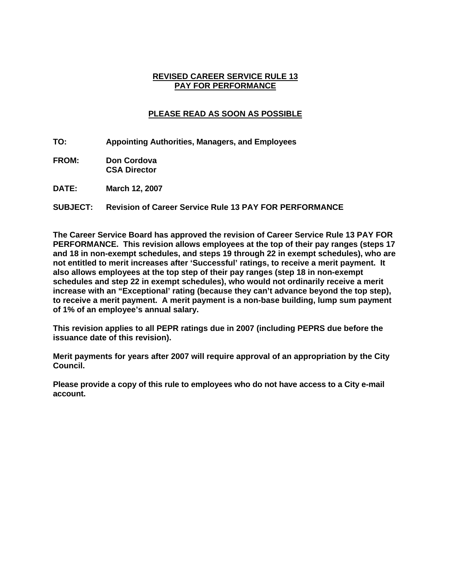#### **REVISED CAREER SERVICE RULE 13 PAY FOR PERFORMANCE**

# **PLEASE READ AS SOON AS POSSIBLE**

- **TO: Appointing Authorities, Managers, and Employees**
- **FROM: Don Cordova CSA Director**
- **DATE: March 12, 2007**

### **SUBJECT: Revision of Career Service Rule 13 PAY FOR PERFORMANCE**

**The Career Service Board has approved the revision of Career Service Rule 13 PAY FOR PERFORMANCE. This revision allows employees at the top of their pay ranges (steps 17 and 18 in non-exempt schedules, and steps 19 through 22 in exempt schedules), who are not entitled to merit increases after 'Successful' ratings, to receive a merit payment. It also allows employees at the top step of their pay ranges (step 18 in non-exempt schedules and step 22 in exempt schedules), who would not ordinarily receive a merit increase with an "Exceptional' rating (because they can't advance beyond the top step), to receive a merit payment. A merit payment is a non-base building, lump sum payment of 1% of an employee's annual salary.** 

**This revision applies to all PEPR ratings due in 2007 (including PEPRS due before the issuance date of this revision).** 

**Merit payments for years after 2007 will require approval of an appropriation by the City Council.** 

**Please provide a copy of this rule to employees who do not have access to a City e-mail account.**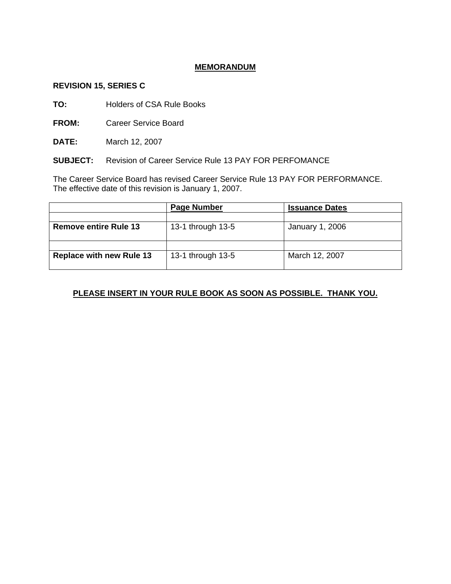### **MEMORANDUM**

#### **REVISION 15, SERIES C**

**TO:** Holders of CSA Rule Books

**FROM:** Career Service Board

**DATE:** March 12, 2007

**SUBJECT:** Revision of Career Service Rule 13 PAY FOR PERFOMANCE

The Career Service Board has revised Career Service Rule 13 PAY FOR PERFORMANCE. The effective date of this revision is January 1, 2007.

|                                 | <b>Page Number</b> | <b>Issuance Dates</b> |  |
|---------------------------------|--------------------|-----------------------|--|
|                                 |                    |                       |  |
| <b>Remove entire Rule 13</b>    | 13-1 through 13-5  | January 1, 2006       |  |
|                                 |                    |                       |  |
| <b>Replace with new Rule 13</b> | 13-1 through 13-5  | March 12, 2007        |  |

# **PLEASE INSERT IN YOUR RULE BOOK AS SOON AS POSSIBLE. THANK YOU.**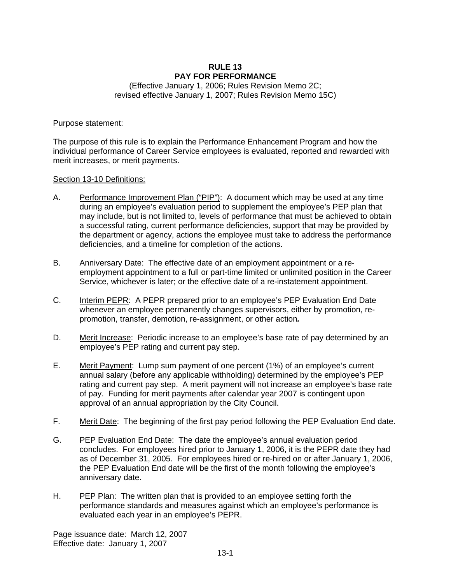#### **RULE 13 PAY FOR PERFORMANCE**

(Effective January 1, 2006; Rules Revision Memo 2C; revised effective January 1, 2007; Rules Revision Memo 15C)

#### Purpose statement:

The purpose of this rule is to explain the Performance Enhancement Program and how the individual performance of Career Service employees is evaluated, reported and rewarded with merit increases, or merit payments.

#### Section 13-10 Definitions:

- A. Performance Improvement Plan ("PIP"): A document which may be used at any time during an employee's evaluation period to supplement the employee's PEP plan that may include, but is not limited to, levels of performance that must be achieved to obtain a successful rating, current performance deficiencies, support that may be provided by the department or agency, actions the employee must take to address the performance deficiencies, and a timeline for completion of the actions.
- B. Anniversary Date: The effective date of an employment appointment or a reemployment appointment to a full or part-time limited or unlimited position in the Career Service, whichever is later; or the effective date of a re-instatement appointment.
- C. Interim PEPR: A PEPR prepared prior to an employee's PEP Evaluation End Date whenever an employee permanently changes supervisors, either by promotion, repromotion, transfer, demotion, re-assignment, or other action*.*
- D. Merit Increase: Periodic increase to an employee's base rate of pay determined by an employee's PEP rating and current pay step.
- E. Merit Payment: Lump sum payment of one percent (1%) of an employee's current annual salary (before any applicable withholding) determined by the employee's PEP rating and current pay step. A merit payment will not increase an employee's base rate of pay. Funding for merit payments after calendar year 2007 is contingent upon approval of an annual appropriation by the City Council.
- F. Merit Date: The beginning of the first pay period following the PEP Evaluation End date.
- G. PEP Evaluation End Date: The date the employee's annual evaluation period concludes. For employees hired prior to January 1, 2006, it is the PEPR date they had as of December 31, 2005. For employees hired or re-hired on or after January 1, 2006, the PEP Evaluation End date will be the first of the month following the employee's anniversary date.
- H. PEP Plan: The written plan that is provided to an employee setting forth the performance standards and measures against which an employee's performance is evaluated each year in an employee's PEPR.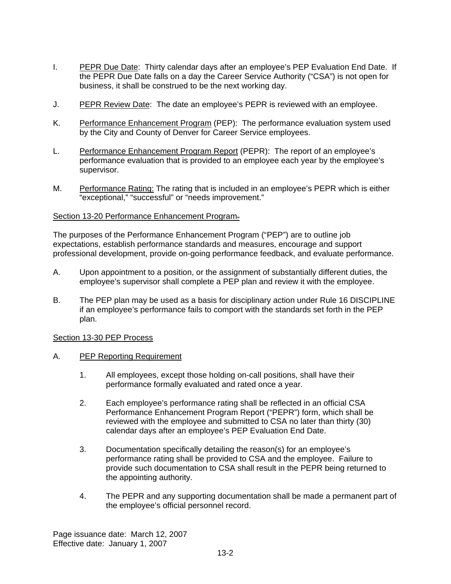- I. PEPR Due Date: Thirty calendar days after an employee's PEP Evaluation End Date. If the PEPR Due Date falls on a day the Career Service Authority ("CSA") is not open for business, it shall be construed to be the next working day.
- J. PEPR Review Date: The date an employee's PEPR is reviewed with an employee.
- K. Performance Enhancement Program (PEP): The performance evaluation system used by the City and County of Denver for Career Service employees.
- L. Performance Enhancement Program Report (PEPR): The report of an employee's performance evaluation that is provided to an employee each year by the employee's supervisor.
- M. Performance Rating: The rating that is included in an employee's PEPR which is either "exceptional," "successful" or "needs improvement."

### Section 13-20 Performance Enhancement Program

The purposes of the Performance Enhancement Program ("PEP") are to outline job expectations, establish performance standards and measures, encourage and support professional development, provide on-going performance feedback, and evaluate performance.

- A. Upon appointment to a position, or the assignment of substantially different duties, the employee's supervisor shall complete a PEP plan and review it with the employee.
- B. The PEP plan may be used as a basis for disciplinary action under Rule 16 DISCIPLINE if an employee's performance fails to comport with the standards set forth in the PEP plan.

#### Section 13-30 PEP Process

- A. PEP Reporting Requirement
	- 1. All employees, except those holding on-call positions, shall have their performance formally evaluated and rated once a year.
	- 2. Each employee's performance rating shall be reflected in an official CSA Performance Enhancement Program Report ("PEPR") form, which shall be reviewed with the employee and submitted to CSA no later than thirty (30) calendar days after an employee's PEP Evaluation End Date.
	- 3. Documentation specifically detailing the reason(s) for an employee's performance rating shall be provided to CSA and the employee. Failure to provide such documentation to CSA shall result in the PEPR being returned to the appointing authority.
	- 4. The PEPR and any supporting documentation shall be made a permanent part of the employee's official personnel record.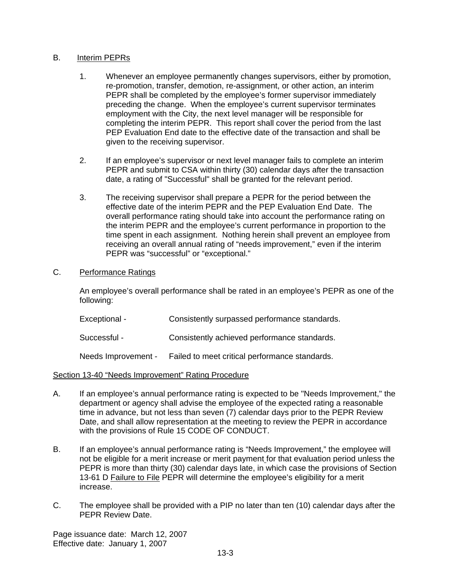### B. Interim PEPRs

- 1. Whenever an employee permanently changes supervisors, either by promotion, re-promotion, transfer, demotion, re-assignment, or other action, an interim PEPR shall be completed by the employee's former supervisor immediately preceding the change. When the employee's current supervisor terminates employment with the City, the next level manager will be responsible for completing the interim PEPR. This report shall cover the period from the last PEP Evaluation End date to the effective date of the transaction and shall be given to the receiving supervisor.
- 2. If an employee's supervisor or next level manager fails to complete an interim PEPR and submit to CSA within thirty (30) calendar days after the transaction date, a rating of "Successful" shall be granted for the relevant period.
- 3. The receiving supervisor shall prepare a PEPR for the period between the effective date of the interim PEPR and the PEP Evaluation End Date. The overall performance rating should take into account the performance rating on the interim PEPR and the employee's current performance in proportion to the time spent in each assignment. Nothing herein shall prevent an employee from receiving an overall annual rating of "needs improvement," even if the interim PEPR was "successful" or "exceptional."

# C. Performance Ratings

An employee's overall performance shall be rated in an employee's PEPR as one of the following:

| Exceptional - | Consistently surpassed performance standards. |
|---------------|-----------------------------------------------|
|               |                                               |

Successful - Consistently achieved performance standards.

Needs Improvement - Failed to meet critical performance standards.

#### Section 13-40 "Needs Improvement" Rating Procedure

- A. If an employee's annual performance rating is expected to be "Needs Improvement," the department or agency shall advise the employee of the expected rating a reasonable time in advance, but not less than seven (7) calendar days prior to the PEPR Review Date, and shall allow representation at the meeting to review the PEPR in accordance with the provisions of Rule 15 CODE OF CONDUCT.
- B. If an employee's annual performance rating is "Needs Improvement," the employee will not be eligible for a merit increase or merit payment for that evaluation period unless the PEPR is more than thirty (30) calendar days late, in which case the provisions of Section 13-61 D Failure to File PEPR will determine the employee's eligibility for a merit increase.
- C. The employee shall be provided with a PIP no later than ten (10) calendar days after the PEPR Review Date.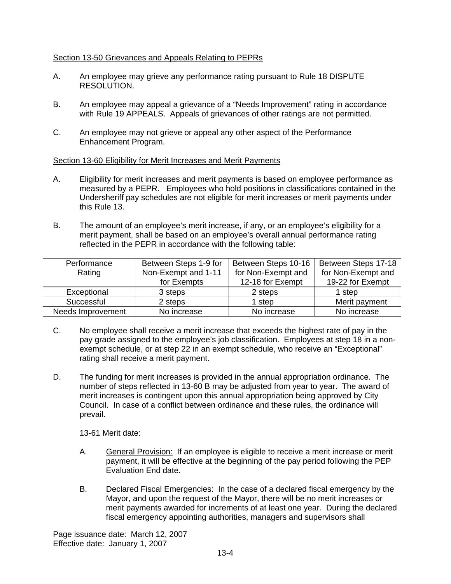# Section 13-50 Grievances and Appeals Relating to PEPRs

- A. An employee may grieve any performance rating pursuant to Rule 18 DISPUTE RESOLUTION.
- B. An employee may appeal a grievance of a "Needs Improvement" rating in accordance with Rule 19 APPEALS. Appeals of grievances of other ratings are not permitted.
- C. An employee may not grieve or appeal any other aspect of the Performance Enhancement Program.

### Section 13-60 Eligibility for Merit Increases and Merit Payments

- A. Eligibility for merit increases and merit payments is based on employee performance as measured by a PEPR. Employees who hold positions in classifications contained in the Undersheriff pay schedules are not eligible for merit increases or merit payments under this Rule 13.
- B. The amount of an employee's merit increase, if any, or an employee's eligibility for a merit payment, shall be based on an employee's overall annual performance rating reflected in the PEPR in accordance with the following table:

| Performance       | Between Steps 1-9 for | Between Steps 10-16 | Between Steps 17-18 |
|-------------------|-----------------------|---------------------|---------------------|
| Rating            | Non-Exempt and 1-11   | for Non-Exempt and  | for Non-Exempt and  |
|                   | for Exempts           | 12-18 for Exempt    | 19-22 for Exempt    |
| Exceptional       | 3 steps               | 2 steps             | 1 step              |
| Successful        | 2 steps               | 1 step              | Merit payment       |
| Needs Improvement | No increase           | No increase         | No increase         |

- C. No employee shall receive a merit increase that exceeds the highest rate of pay in the pay grade assigned to the employee's job classification. Employees at step 18 in a nonexempt schedule, or at step 22 in an exempt schedule, who receive an "Exceptional" rating shall receive a merit payment.
- D. The funding for merit increases is provided in the annual appropriation ordinance. The number of steps reflected in 13-60 B may be adjusted from year to year. The award of merit increases is contingent upon this annual appropriation being approved by City Council. In case of a conflict between ordinance and these rules, the ordinance will prevail.

13-61 Merit date:

- A. General Provision: If an employee is eligible to receive a merit increase or merit payment, it will be effective at the beginning of the pay period following the PEP Evaluation End date.
- B. Declared Fiscal Emergencies: In the case of a declared fiscal emergency by the Mayor, and upon the request of the Mayor, there will be no merit increases or merit payments awarded for increments of at least one year. During the declared fiscal emergency appointing authorities, managers and supervisors shall